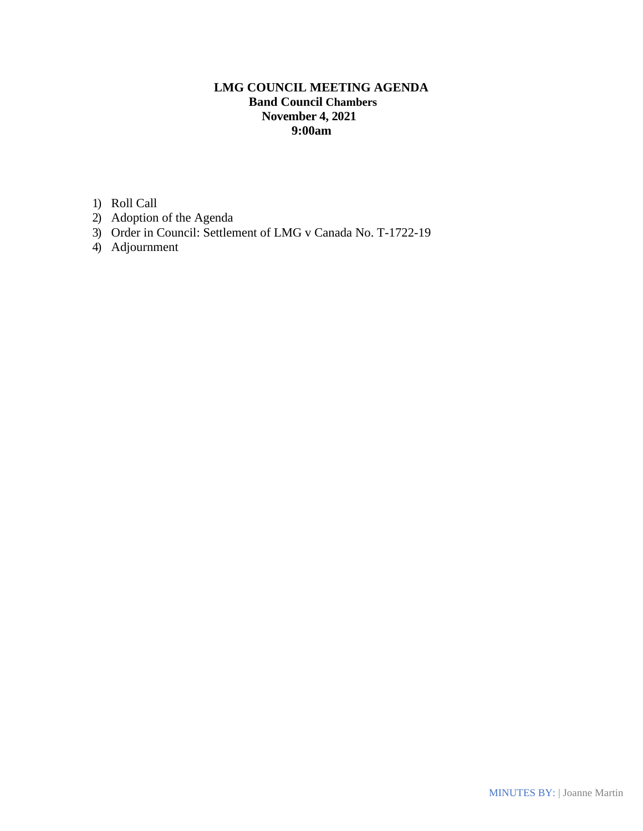# **LMG COUNCIL MEETING AGENDA Band Council Chambers November 4, 2021 9:00am**

1) Roll Call

- 2) Adoption of the Agenda
- 3) Order in Council: Settlement of LMG v Canada No. T-1722-19
- 4) Adjournment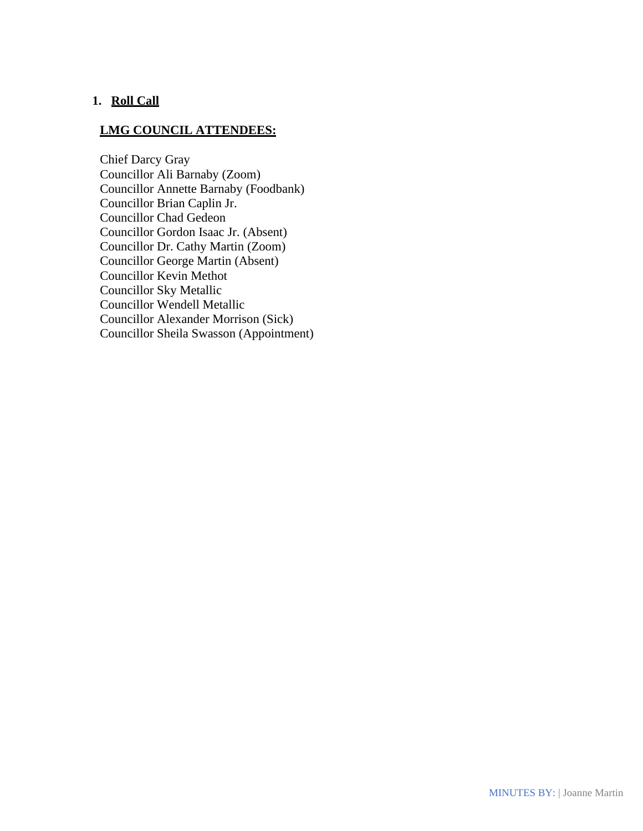## **1. Roll Call**

### **LMG COUNCIL ATTENDEES:**

Chief Darcy Gray Councillor Ali Barnaby (Zoom) Councillor Annette Barnaby (Foodbank) Councillor Brian Caplin Jr. Councillor Chad Gedeon Councillor Gordon Isaac Jr. (Absent) Councillor Dr. Cathy Martin (Zoom) Councillor George Martin (Absent) Councillor Kevin Methot Councillor Sky Metallic Councillor Wendell Metallic Councillor Alexander Morrison (Sick) Councillor Sheila Swasson (Appointment)